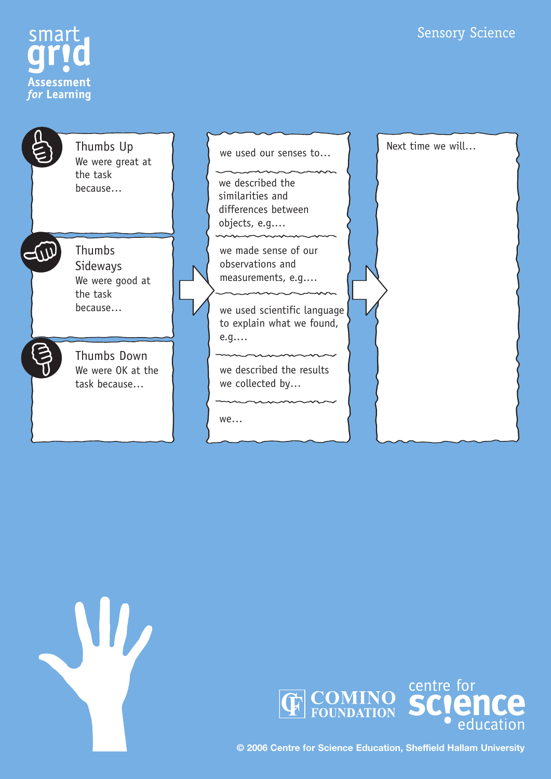# Sensory Science









**© 2006 Centre for Science Education, Sheffield Hallam University**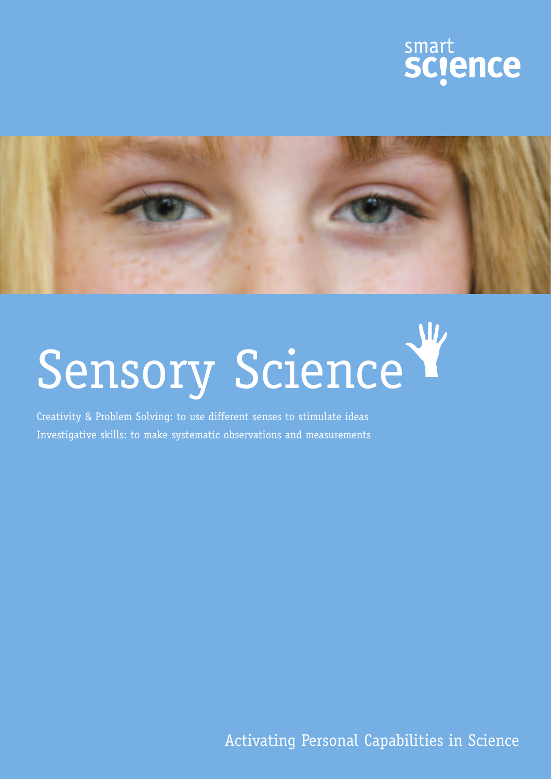



# Sensory Science

Creativity & Problem Solving: to use different senses to stimulate ideas Investigative skills: to make systematic observations and measurements

Activating Personal Capabilities in Science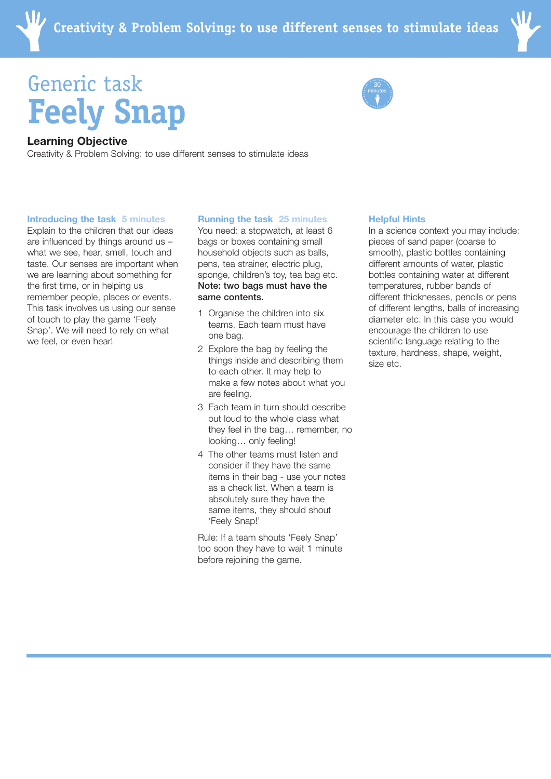

# Generic task **Feely Snap**



## **Learning Objective**

Creativity & Problem Solving: to use different senses to stimulate ideas

#### **Introducing the task 5 minutes**

Explain to the children that our ideas are influenced by things around us – what we see, hear, smell, touch and taste. Our senses are important when we are learning about something for the first time, or in helping us remember people, places or events. This task involves us using our sense of touch to play the game 'Feely Snap'. We will need to rely on what we feel, or even hear!

### **Running the task 25 minutes**

You need: a stopwatch, at least 6 bags or boxes containing small household objects such as balls, pens, tea strainer, electric plug, sponge, children's toy, tea bag etc. Note: two bags must have the same contents.

- 1 Organise the children into six teams. Each team must have one bag.
- 2 Explore the bag by feeling the things inside and describing them to each other. It may help to make a few notes about what you are feeling.
- 3 Each team in turn should describe out loud to the whole class what they feel in the bag… remember, no looking… only feeling!
- 4 The other teams must listen and consider if they have the same items in their bag - use your notes as a check list. When a team is absolutely sure they have the same items, they should shout 'Feely Snap!'

Rule: If a team shouts 'Feely Snap' too soon they have to wait 1 minute before rejoining the game.

### **Helpful Hints**

In a science context you may include: pieces of sand paper (coarse to smooth), plastic bottles containing different amounts of water, plastic bottles containing water at different temperatures, rubber bands of different thicknesses, pencils or pens of different lengths, balls of increasing diameter etc. In this case you would encourage the children to use scientific language relating to the texture, hardness, shape, weight, size etc.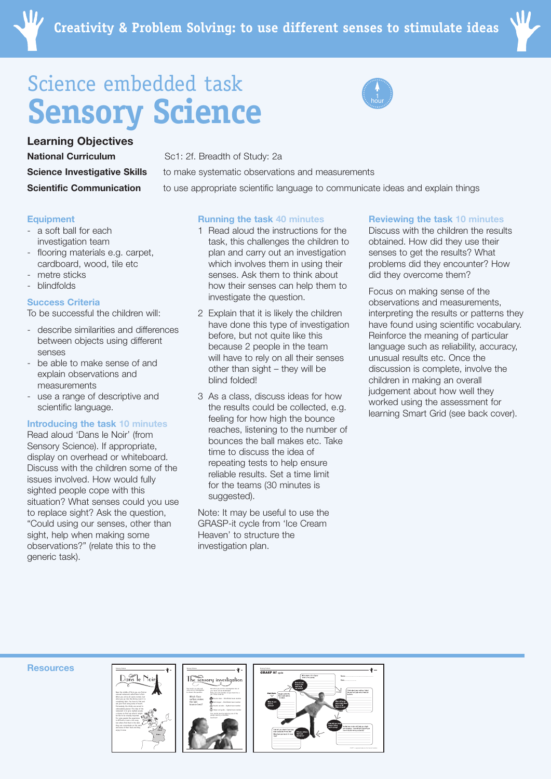

# Science embedded task **Sensory Science**

**Science Investigative Skills Scientific Communication Learning Objectives National Curriculum** Sc1: 2f. Breadth of Study: 2a

### **Equipment**

- a soft ball for each investigation team
- flooring materials e.g. carpet, cardboard, wood, tile etc
- metre sticks
- **blindfolds**

## **Success Criteria**

To be successful the children will:

- describe similarities and differences between objects using different senses
- be able to make sense of and explain observations and measurements
- use a range of descriptive and scientific language.

# **Introducing the task 10 minutes**

Read aloud 'Dans le Noir' (from Sensory Science). If appropriate, display on overhead or whiteboard. Discuss with the children some of the issues involved. How would fully sighted people cope with this situation? What senses could you use to replace sight? Ask the question, "Could using our senses, other than sight, help when making some observations?" (relate this to the generic task).

**Running the task 40 minutes**

to make systematic observations and measurements

to use appropriate scientific language to communicate ideas and explain things

hour

- 1 Read aloud the instructions for the task, this challenges the children to plan and carry out an investigation which involves them in using their senses. Ask them to think about how their senses can help them to investigate the question.
- 2 Explain that it is likely the children have done this type of investigation before, but not quite like this because 2 people in the team will have to rely on all their senses other than sight – they will be blind folded!
- 3 As a class, discuss ideas for how the results could be collected, e.g. feeling for how high the bounce reaches, listening to the number of bounces the ball makes etc. Take time to discuss the idea of repeating tests to help ensure reliable results. Set a time limit for the teams (30 minutes is suggested).

Note: It may be useful to use the GRASP-it cycle from 'Ice Cream Heaven' to structure the investigation plan.

### **Reviewing the task 10 minutes**

Discuss with the children the results obtained. How did they use their senses to get the results? What problems did they encounter? How did they overcome them?

Focus on making sense of the observations and measurements, interpreting the results or patterns they have found using scientific vocabulary. Reinforce the meaning of particular language such as reliability, accuracy, unusual results etc. Once the discussion is complete, involve the children in making an overall judgement about how well they worked using the assessment for learning Smart Grid (see back cover).

#### **Resources**



The sensory investigation Which floor Results taker – Blindfolded team member surface makes the ball bounce best? Results recorder – Sighted team member Helper and guide – Sighted team member people wearing a blindfold.

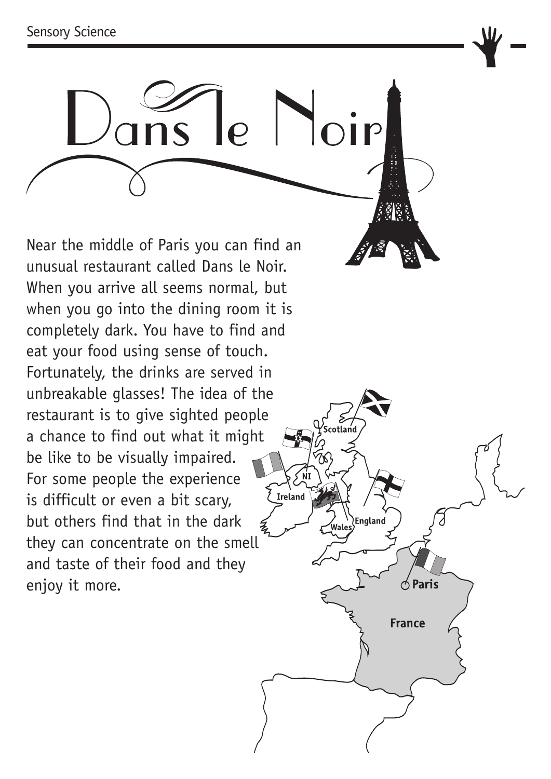

otland

 $\triangle$  Paris

**France** 

Near the middle of Paris you can find an unusual restaurant called Dans le Noir. When you arrive all seems normal, but when you go into the dining room it is completely dark. You have to find and eat your food using sense of touch. Fortunately, the drinks are served in unbreakable glasses! The idea of the restaurant is to give sighted people a chance to find out what it might be like to be visually impaired.  $\sqrt{\frac{N}{N}}$ For some people the experience  $\sum_{\text{I}^\prime}$ is difficult or even a bit scary, but others find that in the dark they can concentrate on the smell and taste of their food and they enjoy it more.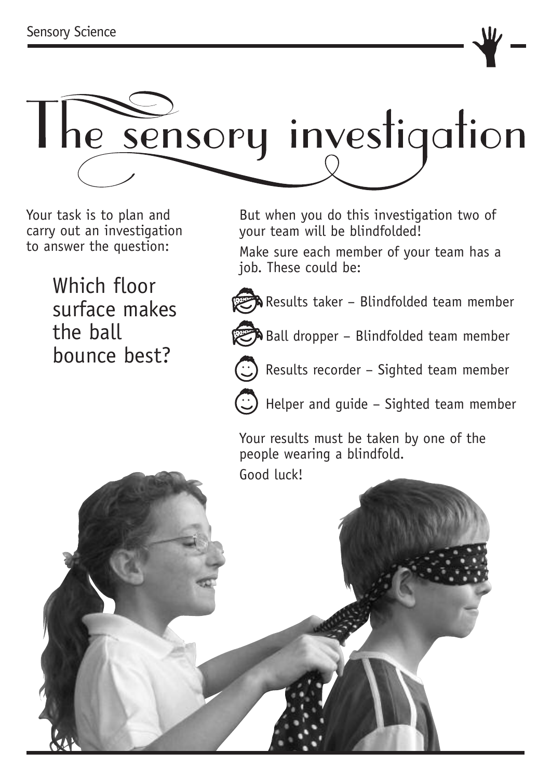

Your task is to plan and carry out an investigation to answer the question:

> Which floor surface makes the ball bounce best?

But when you do this investigation two of your team will be blindfolded!

Make sure each member of your team has a job. These could be:



**R** Results taker - Blindfolded team member



 $\mathbb{Z}$  Ball dropper – Blindfolded team member



Results recorder – Sighted team member



Helper and guide – Sighted team member

Your results must be taken by one of the people wearing a blindfold.

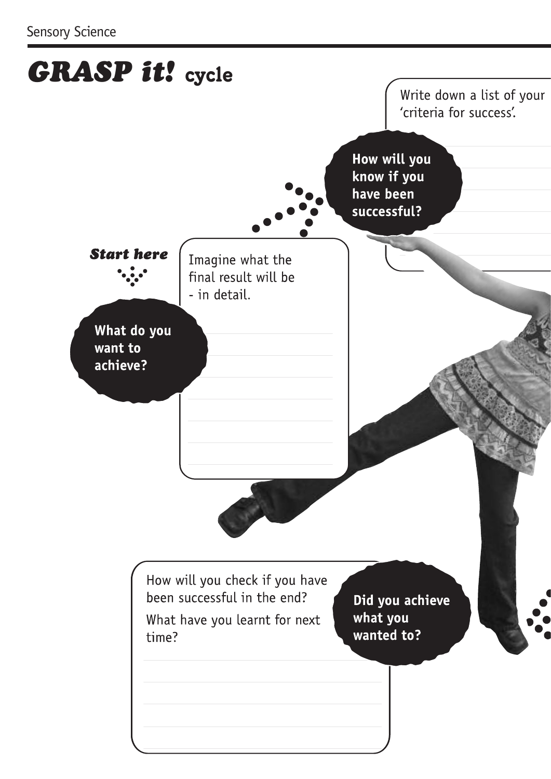